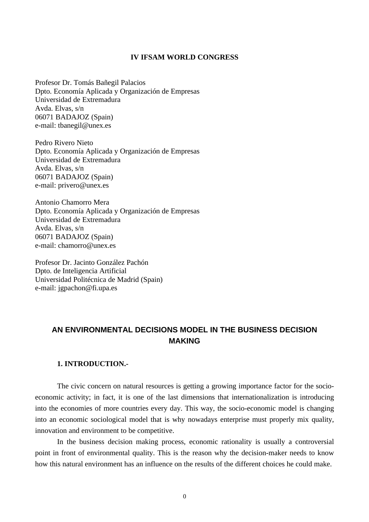#### **IV IFSAM WORLD CONGRESS**

Profesor Dr. Tomás Bañegil Palacios Dpto. Economía Aplicada y Organización de Empresas Universidad de Extremadura Avda. Elvas, s/n 06071 BADAJOZ (Spain) e-mail: tbanegil@unex.es

Pedro Rivero Nieto Dpto. Economía Aplicada y Organización de Empresas Universidad de Extremadura Avda. Elvas, s/n 06071 BADAJOZ (Spain) e-mail: privero@unex.es

Antonio Chamorro Mera Dpto. Economía Aplicada y Organización de Empresas Universidad de Extremadura Avda. Elvas, s/n 06071 BADAJOZ (Spain) e-mail: chamorro@unex.es

Profesor Dr. Jacinto González Pachón Dpto. de Inteligencia Artificial Universidad Politécnica de Madrid (Spain) e-mail: jgpachon@fi.upa.es

# **AN ENVIRONMENTAL DECISIONS MODEL IN THE BUSINESS DECISION MAKING**

#### **1. INTRODUCTION.-**

The civic concern on natural resources is getting a growing importance factor for the socioeconomic activity; in fact, it is one of the last dimensions that internationalization is introducing into the economies of more countries every day. This way, the socio-economic model is changing into an economic sociological model that is why nowadays enterprise must properly mix quality, innovation and environment to be competitive.

In the business decision making process, economic rationality is usually a controversial point in front of environmental quality. This is the reason why the decision-maker needs to know how this natural environment has an influence on the results of the different choices he could make.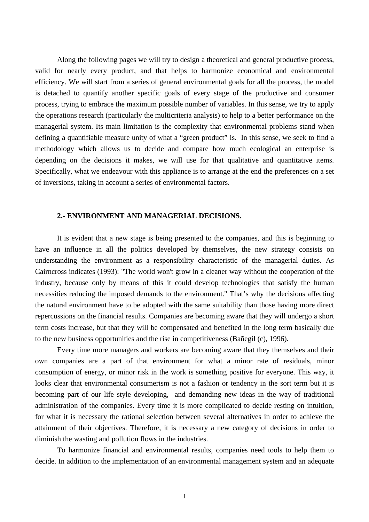Along the following pages we will try to design a theoretical and general productive process, valid for nearly every product, and that helps to harmonize economical and environmental efficiency. We will start from a series of general environmental goals for all the process, the model is detached to quantify another specific goals of every stage of the productive and consumer process, trying to embrace the maximum possible number of variables. In this sense, we try to apply the operations research (particularly the multicriteria analysis) to help to a better performance on the managerial system. Its main limitation is the complexity that environmental problems stand when defining a quantifiable measure unity of what a "green product" is. In this sense, we seek to find a methodology which allows us to decide and compare how much ecological an enterprise is depending on the decisions it makes, we will use for that qualitative and quantitative items. Specifically, what we endeavour with this appliance is to arrange at the end the preferences on a set of inversions, taking in account a series of environmental factors.

#### **2.- ENVIRONMENT AND MANAGERIAL DECISIONS.**

It is evident that a new stage is being presented to the companies, and this is beginning to have an influence in all the politics developed by themselves, the new strategy consists on understanding the environment as a responsibility characteristic of the managerial duties. As Cairncross indicates (1993): "The world won't grow in a cleaner way without the cooperation of the industry, because only by means of this it could develop technologies that satisfy the human necessities reducing the imposed demands to the environment." That's why the decisions affecting the natural environment have to be adopted with the same suitability than those having more direct repercussions on the financial results. Companies are becoming aware that they will undergo a short term costs increase, but that they will be compensated and benefited in the long term basically due to the new business opportunities and the rise in competitiveness (Bañegil (c), 1996).

Every time more managers and workers are becoming aware that they themselves and their own companies are a part of that environment for what a minor rate of residuals, minor consumption of energy, or minor risk in the work is something positive for everyone. This way, it looks clear that environmental consumerism is not a fashion or tendency in the sort term but it is becoming part of our life style developing, and demanding new ideas in the way of traditional administration of the companies. Every time it is more complicated to decide resting on intuition, for what it is necessary the rational selection between several alternatives in order to achieve the attainment of their objectives. Therefore, it is necessary a new category of decisions in order to diminish the wasting and pollution flows in the industries.

To harmonize financial and environmental results, companies need tools to help them to decide. In addition to the implementation of an environmental management system and an adequate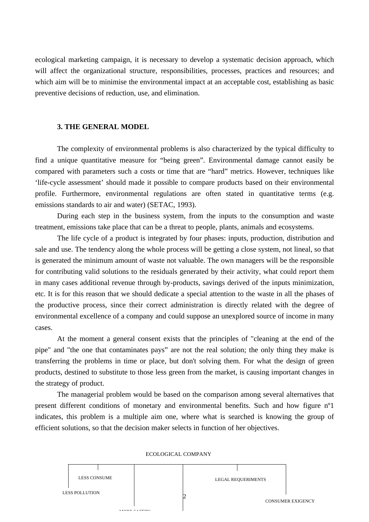ecological marketing campaign, it is necessary to develop a systematic decision approach, which will affect the organizational structure, responsibilities, processes, practices and resources; and which aim will be to minimise the environmental impact at an acceptable cost, establishing as basic preventive decisions of reduction, use, and elimination.

#### **3. THE GENERAL MODEL**

The complexity of environmental problems is also characterized by the typical difficulty to find a unique quantitative measure for "being green". Environmental damage cannot easily be compared with parameters such a costs or time that are "hard" metrics. However, techniques like 'life-cycle assessment' should made it possible to compare products based on their environmental profile. Furthermore, environmental regulations are often stated in quantitative terms (e.g. emissions standards to air and water) (SETAC, 1993).

During each step in the business system, from the inputs to the consumption and waste treatment, emissions take place that can be a threat to people, plants, animals and ecosystems.

The life cycle of a product is integrated by four phases: inputs, production, distribution and sale and use. The tendency along the whole process will be getting a close system, not lineal, so that is generated the minimum amount of waste not valuable. The own managers will be the responsible for contributing valid solutions to the residuals generated by their activity, what could report them in many cases additional revenue through by-products, savings derived of the inputs minimization, etc. It is for this reason that we should dedicate a special attention to the waste in all the phases of the productive process, since their correct administration is directly related with the degree of environmental excellence of a company and could suppose an unexplored source of income in many cases.

At the moment a general consent exists that the principles of "cleaning at the end of the pipe" and "the one that contaminates pays" are not the real solution; the only thing they make is transferring the problems in time or place, but don't solving them. For what the design of green products, destined to substitute to those less green from the market, is causing important changes in the strategy of product.

The managerial problem would be based on the comparison among several alternatives that present different conditions of monetary and environmental benefits. Such and how figure nº1 indicates, this problem is a multiple aim one, where what is searched is knowing the group of efficient solutions, so that the decision maker selects in function of her objectives.



#### ECOLOGICAL COMPANY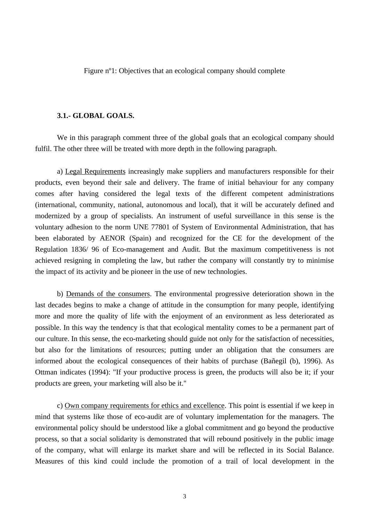Figure nº1: Objectives that an ecological company should complete

#### **3.1.- GLOBAL GOALS.**

We in this paragraph comment three of the global goals that an ecological company should fulfil. The other three will be treated with more depth in the following paragraph.

a) Legal Requirements increasingly make suppliers and manufacturers responsible for their products, even beyond their sale and delivery. The frame of initial behaviour for any company comes after having considered the legal texts of the different competent administrations (international, community, national, autonomous and local), that it will be accurately defined and modernized by a group of specialists. An instrument of useful surveillance in this sense is the voluntary adhesion to the norm UNE 77801 of System of Environmental Administration, that has been elaborated by AENOR (Spain) and recognized for the CE for the development of the Regulation 1836/ 96 of Eco-management and Audit. But the maximum competitiveness is not achieved resigning in completing the law, but rather the company will constantly try to minimise the impact of its activity and be pioneer in the use of new technologies.

b) Demands of the consumers. The environmental progressive deterioration shown in the last decades begins to make a change of attitude in the consumption for many people, identifying more and more the quality of life with the enjoyment of an environment as less deteriorated as possible. In this way the tendency is that that ecological mentality comes to be a permanent part of our culture. In this sense, the eco-marketing should guide not only for the satisfaction of necessities, but also for the limitations of resources; putting under an obligation that the consumers are informed about the ecological consequences of their habits of purchase (Bañegil (b), 1996). As Ottman indicates (1994): "If your productive process is green, the products will also be it; if your products are green, your marketing will also be it."

c) Own company requirements for ethics and excellence. This point is essential if we keep in mind that systems like those of eco-audit are of voluntary implementation for the managers. The environmental policy should be understood like a global commitment and go beyond the productive process, so that a social solidarity is demonstrated that will rebound positively in the public image of the company, what will enlarge its market share and will be reflected in its Social Balance. Measures of this kind could include the promotion of a trail of local development in the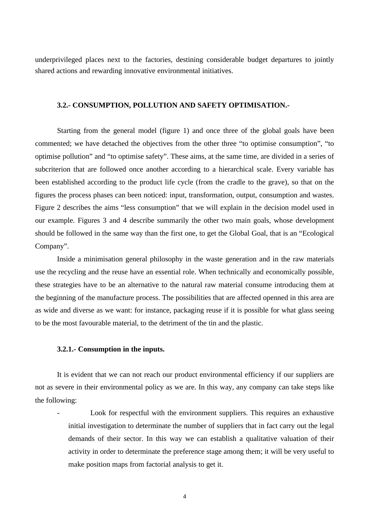underprivileged places next to the factories, destining considerable budget departures to jointly shared actions and rewarding innovative environmental initiatives.

## **3.2.- CONSUMPTION, POLLUTION AND SAFETY OPTIMISATION.-**

Starting from the general model (figure 1) and once three of the global goals have been commented; we have detached the objectives from the other three "to optimise consumption", "to optimise pollution" and "to optimise safety". These aims, at the same time, are divided in a series of subcriterion that are followed once another according to a hierarchical scale. Every variable has been established according to the product life cycle (from the cradle to the grave), so that on the figures the process phases can been noticed: input, transformation, output, consumption and wastes. Figure 2 describes the aims "less consumption" that we will explain in the decision model used in our example. Figures 3 and 4 describe summarily the other two main goals, whose development should be followed in the same way than the first one, to get the Global Goal, that is an "Ecological Company".

Inside a minimisation general philosophy in the waste generation and in the raw materials use the recycling and the reuse have an essential role. When technically and economically possible, these strategies have to be an alternative to the natural raw material consume introducing them at the beginning of the manufacture process. The possibilities that are affected openned in this area are as wide and diverse as we want: for instance, packaging reuse if it is possible for what glass seeing to be the most favourable material, to the detriment of the tin and the plastic.

#### **3.2.1.- Consumption in the inputs.**

It is evident that we can not reach our product environmental efficiency if our suppliers are not as severe in their environmental policy as we are. In this way, any company can take steps like the following:

Look for respectful with the environment suppliers. This requires an exhaustive initial investigation to determinate the number of suppliers that in fact carry out the legal demands of their sector. In this way we can establish a qualitative valuation of their activity in order to determinate the preference stage among them; it will be very useful to make position maps from factorial analysis to get it.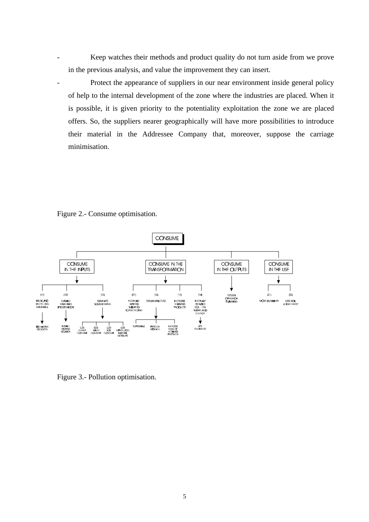Keep watches their methods and product quality do not turn aside from we prove in the previous analysis, and value the improvement they can insert.

Protect the appearance of suppliers in our near environment inside general policy of help to the internal development of the zone where the industries are placed. When it is possible, it is given priority to the potentiality exploitation the zone we are placed offers. So, the suppliers nearer geographically will have more possibilities to introduce their material in the Addressee Company that, moreover, suppose the carriage minimisation.

Figure 2.- Consume optimisation.



Figure 3.- Pollution optimisation.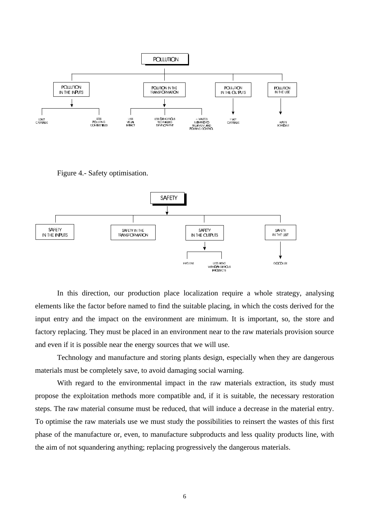

Figure 4.- Safety optimisation.



In this direction, our production place localization require a whole strategy, analysing elements like the factor before named to find the suitable placing, in which the costs derived for the input entry and the impact on the environment are minimum. It is important, so, the store and factory replacing. They must be placed in an environment near to the raw materials provision source and even if it is possible near the energy sources that we will use.

Technology and manufacture and storing plants design, especially when they are dangerous materials must be completely save, to avoid damaging social warning.

With regard to the environmental impact in the raw materials extraction, its study must propose the exploitation methods more compatible and, if it is suitable, the necessary restoration steps. The raw material consume must be reduced, that will induce a decrease in the material entry. To optimise the raw materials use we must study the possibilities to reinsert the wastes of this first phase of the manufacture or, even, to manufacture subproducts and less quality products line, with the aim of not squandering anything; replacing progressively the dangerous materials.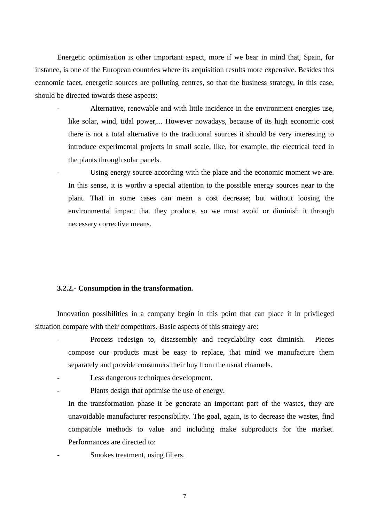Energetic optimisation is other important aspect, more if we bear in mind that, Spain, for instance, is one of the European countries where its acquisition results more expensive. Besides this economic facet, energetic sources are polluting centres, so that the business strategy, in this case, should be directed towards these aspects:

Alternative, renewable and with little incidence in the environment energies use, like solar, wind, tidal power,... However nowadays, because of its high economic cost there is not a total alternative to the traditional sources it should be very interesting to introduce experimental projects in small scale, like, for example, the electrical feed in the plants through solar panels.

Using energy source according with the place and the economic moment we are. In this sense, it is worthy a special attention to the possible energy sources near to the plant. That in some cases can mean a cost decrease; but without loosing the environmental impact that they produce, so we must avoid or diminish it through necessary corrective means.

### **3.2.2.- Consumption in the transformation.**

Innovation possibilities in a company begin in this point that can place it in privileged situation compare with their competitors. Basic aspects of this strategy are:

- Process redesign to, disassembly and recyclability cost diminish. Pieces compose our products must be easy to replace, that mind we manufacture them separately and provide consumers their buy from the usual channels.
- Less dangerous techniques development.
- Plants design that optimise the use of energy.

In the transformation phase it be generate an important part of the wastes, they are unavoidable manufacturer responsibility. The goal, again, is to decrease the wastes, find compatible methods to value and including make subproducts for the market. Performances are directed to:

Smokes treatment, using filters.

7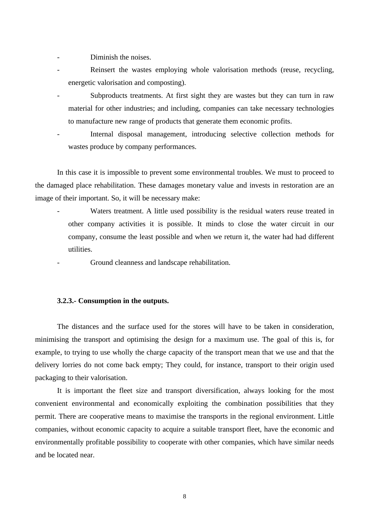Diminish the noises.

- Reinsert the wastes employing whole valorisation methods (reuse, recycling, energetic valorisation and composting).
- Subproducts treatments. At first sight they are wastes but they can turn in raw material for other industries; and including, companies can take necessary technologies to manufacture new range of products that generate them economic profits.
- Internal disposal management, introducing selective collection methods for wastes produce by company performances.

In this case it is impossible to prevent some environmental troubles. We must to proceed to the damaged place rehabilitation. These damages monetary value and invests in restoration are an image of their important. So, it will be necessary make:

> Waters treatment. A little used possibility is the residual waters reuse treated in other company activities it is possible. It minds to close the water circuit in our company, consume the least possible and when we return it, the water had had different utilities.

- Ground cleanness and landscape rehabilitation.

#### **3.2.3.- Consumption in the outputs.**

The distances and the surface used for the stores will have to be taken in consideration, minimising the transport and optimising the design for a maximum use. The goal of this is, for example, to trying to use wholly the charge capacity of the transport mean that we use and that the delivery lorries do not come back empty; They could, for instance, transport to their origin used packaging to their valorisation.

It is important the fleet size and transport diversification, always looking for the most convenient environmental and economically exploiting the combination possibilities that they permit. There are cooperative means to maximise the transports in the regional environment. Little companies, without economic capacity to acquire a suitable transport fleet, have the economic and environmentally profitable possibility to cooperate with other companies, which have similar needs and be located near.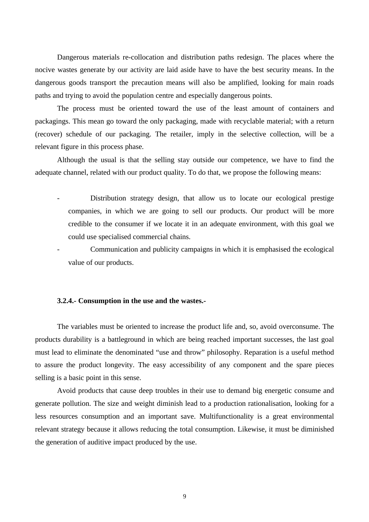Dangerous materials re-collocation and distribution paths redesign. The places where the nocive wastes generate by our activity are laid aside have to have the best security means. In the dangerous goods transport the precaution means will also be amplified, looking for main roads paths and trying to avoid the population centre and especially dangerous points.

The process must be oriented toward the use of the least amount of containers and packagings. This mean go toward the only packaging, made with recyclable material; with a return (recover) schedule of our packaging. The retailer, imply in the selective collection, will be a relevant figure in this process phase.

Although the usual is that the selling stay outside our competence, we have to find the adequate channel, related with our product quality. To do that, we propose the following means:

- Distribution strategy design, that allow us to locate our ecological prestige companies, in which we are going to sell our products. Our product will be more credible to the consumer if we locate it in an adequate environment, with this goal we could use specialised commercial chains.
- Communication and publicity campaigns in which it is emphasised the ecological value of our products.

#### **3.2.4.- Consumption in the use and the wastes.-**

The variables must be oriented to increase the product life and, so, avoid overconsume. The products durability is a battleground in which are being reached important successes, the last goal must lead to eliminate the denominated "use and throw" philosophy. Reparation is a useful method to assure the product longevity. The easy accessibility of any component and the spare pieces selling is a basic point in this sense.

Avoid products that cause deep troubles in their use to demand big energetic consume and generate pollution. The size and weight diminish lead to a production rationalisation, looking for a less resources consumption and an important save. Multifunctionality is a great environmental relevant strategy because it allows reducing the total consumption. Likewise, it must be diminished the generation of auditive impact produced by the use.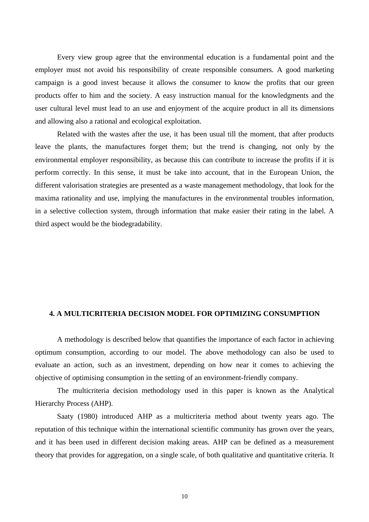Every view group agree that the environmental education is a fundamental point and the employer must not avoid his responsibility of create responsible consumers. A good marketing campaign is a good invest because it allows the consumer to know the profits that our green products offer to him and the society. A easy instruction manual for the knowledgments and the user cultural level must lead to an use and enjoyment of the acquire product in all its dimensions and allowing also a rational and ecological exploitation.

Related with the wastes after the use, it has been usual till the moment, that after products leave the plants, the manufactures forget them; but the trend is changing, not only by the environmental employer responsibility, as because this can contribute to increase the profits if it is perform correctly. In this sense, it must be take into account, that in the European Union, the different valorisation strategies are presented as a waste management methodology, that look for the maxima rationality and use, implying the manufactures in the environmental troubles information, in a selective collection system, through information that make easier their rating in the label. A third aspect would be the biodegradability.

#### **4. A MULTICRITERIA DECISION MODEL FOR OPTIMIZING CONSUMPTION**

A methodology is described below that quantifies the importance of each factor in achieving optimum consumption, according to our model. The above methodology can also be used to evaluate an action, such as an investment, depending on how near it comes to achieving the objective of optimising consumption in the setting of an environment-friendly company.

The multicriteria decision methodology used in this paper is known as the Analytical Hierarchy Process (AHP).

Saaty (1980) introduced AHP as a multicriteria method about twenty years ago. The reputation of this technique within the international scientific community has grown over the years, and it has been used in different decision making areas. AHP can be defined as a measurement theory that provides for aggregation, on a single scale, of both qualitative and quantitative criteria. It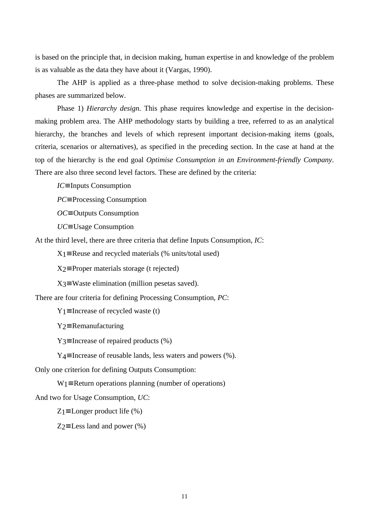is based on the principle that, in decision making, human expertise in and knowledge of the problem is as valuable as the data they have about it (Vargas, 1990).

The AHP is applied as a three-phase method to solve decision-making problems. These phases are summarized below.

Phase 1) *Hierarchy design*. This phase requires knowledge and expertise in the decisionmaking problem area. The AHP methodology starts by building a tree, referred to as an analytical hierarchy, the branches and levels of which represent important decision-making items (goals, criteria, scenarios or alternatives), as specified in the preceding section. In the case at hand at the top of the hierarchy is the end goal *Optimise Consumption in an Environment-friendly Company*. There are also three second level factors. These are defined by the criteria:

*IC*≡ Inputs Consumption

*PC*≡ Processing Consumption

*OC*≡ Outputs Consumption

*UC*≡ Usage Consumption

At the third level, there are three criteria that define Inputs Consumption, *IC*:

 $X_1$ ≡ Reuse and recycled materials (% units/total used)

X2≡ Proper materials storage (t rejected)

 $X_3$ ≡ Waste elimination (million pesetas saved).

There are four criteria for defining Processing Consumption, *PC*:

 $Y_1$ ≡ Increase of recycled waste (t)

Y2≡ Remanufacturing

 $Y_3 \equiv$  Increase of repaired products (%)

Y4≡ Increase of reusable lands, less waters and powers (%).

Only one criterion for defining Outputs Consumption:

W1≡ Return operations planning (number of operations)

And two for Usage Consumption, *UC*:

 $Z_1 \equiv$  Longer product life (%)

 $Z_2 \equiv$  Less land and power (%)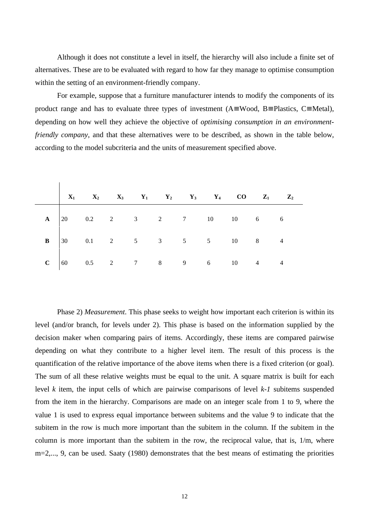Although it does not constitute a level in itself, the hierarchy will also include a finite set of alternatives. These are to be evaluated with regard to how far they manage to optimise consumption within the setting of an environment-friendly company.

For example, suppose that a furniture manufacturer intends to modify the components of its product range and has to evaluate three types of investment (A≡ Wood, B≡ Plastics, C≡ Metal), depending on how well they achieve the objective of *optimising consumption in an environmentfriendly company*, and that these alternatives were to be described, as shown in the table below, according to the model subcriteria and the units of measurement specified above.

|  |  |  |  | $X_1$ $X_2$ $X_3$ $Y_1$ $Y_2$ $Y_3$ $Y_4$ CO $Z_1$ $Z_2$                                      |  |
|--|--|--|--|-----------------------------------------------------------------------------------------------|--|
|  |  |  |  | <b>A</b> $\begin{vmatrix} 20 & 0.2 & 2 & 3 & 2 & 7 & 10 & 10 & 6 & 6 \end{vmatrix}$           |  |
|  |  |  |  | <b>B</b> $\begin{vmatrix} 30 & 0.1 & 2 & 5 & 3 & 5 & 5 & 10 & 8 & 4 \end{vmatrix}$            |  |
|  |  |  |  | <b>C</b> $\begin{array}{ ccc ccc ccc } 60 & 0.5 & 2 & 7 & 8 & 9 & 6 & 10 & 4 & 4 \end{array}$ |  |

 $\mathbf{I}$ 

Phase 2) *Measurement*. This phase seeks to weight how important each criterion is within its level (and/or branch, for levels under 2). This phase is based on the information supplied by the decision maker when comparing pairs of items. Accordingly, these items are compared pairwise depending on what they contribute to a higher level item. The result of this process is the quantification of the relative importance of the above items when there is a fixed criterion (or goal). The sum of all these relative weights must be equal to the unit. A square matrix is built for each level *k* item, the input cells of which are pairwise comparisons of level *k-1* subitems suspended from the item in the hierarchy. Comparisons are made on an integer scale from 1 to 9, where the value 1 is used to express equal importance between subitems and the value 9 to indicate that the subitem in the row is much more important than the subitem in the column. If the subitem in the column is more important than the subitem in the row, the reciprocal value, that is, 1/m, where m=2,..., 9, can be used. Saaty (1980) demonstrates that the best means of estimating the priorities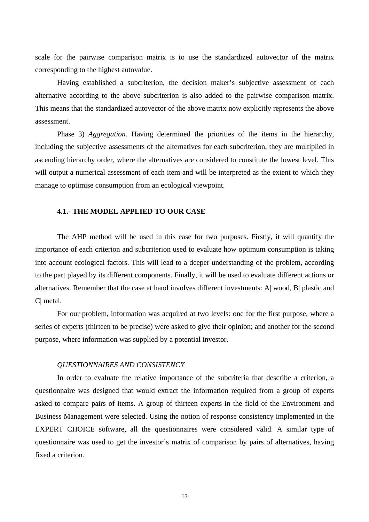scale for the pairwise comparison matrix is to use the standardized autovector of the matrix corresponding to the highest autovalue.

Having established a subcriterion, the decision maker's subjective assessment of each alternative according to the above subcriterion is also added to the pairwise comparison matrix. This means that the standardized autovector of the above matrix now explicitly represents the above assessment.

Phase 3) *Aggregation*. Having determined the priorities of the items in the hierarchy, including the subjective assessments of the alternatives for each subcriterion, they are multiplied in ascending hierarchy order, where the alternatives are considered to constitute the lowest level. This will output a numerical assessment of each item and will be interpreted as the extent to which they manage to optimise consumption from an ecological viewpoint.

## **4.1.- THE MODEL APPLIED TO OUR CASE**

The AHP method will be used in this case for two purposes. Firstly, it will quantify the importance of each criterion and subcriterion used to evaluate how optimum consumption is taking into account ecological factors. This will lead to a deeper understanding of the problem, according to the part played by its different components. Finally, it will be used to evaluate different actions or alternatives. Remember that the case at hand involves different investments: A| wood, B| plastic and C| metal.

For our problem, information was acquired at two levels: one for the first purpose, where a series of experts (thirteen to be precise) were asked to give their opinion; and another for the second purpose, where information was supplied by a potential investor.

#### *QUESTIONNAIRES AND CONSISTENCY*

In order to evaluate the relative importance of the subcriteria that describe a criterion, a questionnaire was designed that would extract the information required from a group of experts asked to compare pairs of items. A group of thirteen experts in the field of the Environment and Business Management were selected. Using the notion of response consistency implemented in the EXPERT CHOICE software, all the questionnaires were considered valid. A similar type of questionnaire was used to get the investor's matrix of comparison by pairs of alternatives, having fixed a criterion.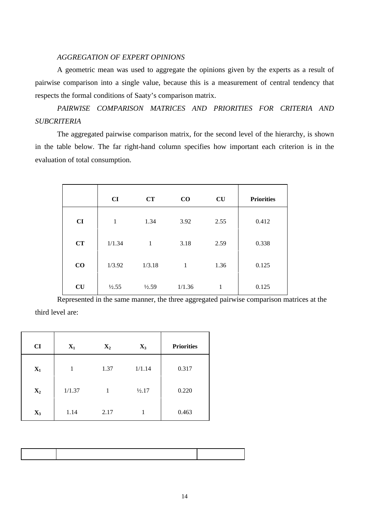#### *AGGREGATION OF EXPERT OPINIONS*

A geometric mean was used to aggregate the opinions given by the experts as a result of pairwise comparison into a single value, because this is a measurement of central tendency that respects the formal conditions of Saaty's comparison matrix.

*PAIRWISE COMPARISON MATRICES AND PRIORITIES FOR CRITERIA AND SUBCRITERIA*

The aggregated pairwise comparison matrix, for the second level of the hierarchy, is shown in the table below. The far right-hand column specifies how important each criterion is in the evaluation of total consumption.

|          | CI     | CT               | $\bf CO$     | CU   | <b>Priorities</b> |
|----------|--------|------------------|--------------|------|-------------------|
| CI       | 1      | 1.34             | 3.92         | 2.55 | 0.412             |
| CT       | 1/1.34 | 1                | 3.18         | 2.59 | 0.338             |
| $\bf CO$ | 1/3.92 | 1/3.18           | $\mathbf{1}$ | 1.36 | 0.125             |
| CU       | 1/2.55 | $\frac{1}{2.59}$ | 1/1.36       | 1    | 0.125             |

Represented in the same manner, the three aggregated pairwise comparison matrices at the third level are:

| CI             | $X_1$  | $X_2$        | $X_3$  | <b>Priorities</b> |
|----------------|--------|--------------|--------|-------------------|
| $\mathbf{X}_1$ | 1      | 1.37         | 1/1.14 | 0.317             |
| $\mathbf{X}_2$ | 1/1.37 | $\mathbf{1}$ | 1/2.17 | 0.220             |
| $X_3$          | 1.14   | 2.17         | 1      | 0.463             |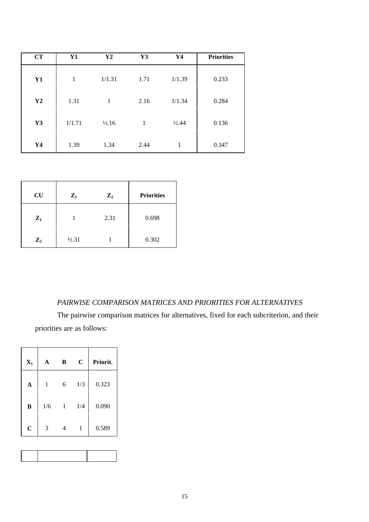| CT             | Y1     | Y <sub>2</sub>    | Y3   | Y4               | <b>Priorities</b> |
|----------------|--------|-------------------|------|------------------|-------------------|
| Y1             | 1      | 1/1.31            | 1.71 | 1/1.39           | 0.233             |
| Y2             | 1.31   | 1                 | 2.16 | 1/1.34           | 0.284             |
| Y3             | 1/1.71 | $\frac{1}{2}$ .16 | 1    | $\frac{1}{2.44}$ | 0.136             |
| Y <sub>4</sub> | 1.39   | 1.34              | 2.44 | 1                | 0.347             |

| <b>CU</b>      | $Z_1$  | $\mathbf{Z}_2$ | <b>Priorities</b> |
|----------------|--------|----------------|-------------------|
| $\mathbf{Z}_1$ |        | 2.31           | 0.698             |
| $\mathbf{Z}_2$ | 1/2.31 |                | 0.302             |

## *PAIRWISE COMPARISON MATRICES AND PRIORITIES FOR ALTERNATIVES*

The pairwise comparison matrices for alternatives, fixed for each subcriterion, and their priorities are as follows:

| $X_1$       | A   | B | $\mathbf C$ | Priorit. |
|-------------|-----|---|-------------|----------|
| A           | 1   | 6 | 1/3         | 0.323    |
| $\bf{B}$    | 1/6 | 1 | 1/4         | 0.090    |
| $\mathbf C$ | 3   | 4 | 1           | 0.589    |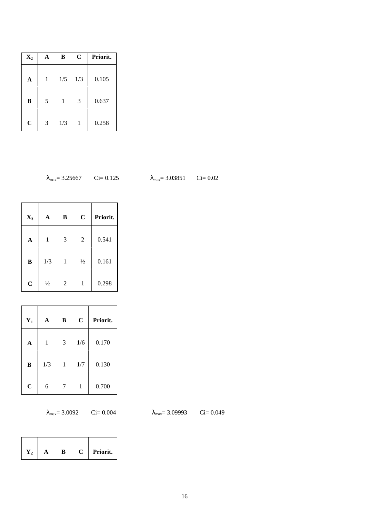| $X_2$       |   | B   | $\mathbf C$ | Priorit. |
|-------------|---|-----|-------------|----------|
| A           | 1 | 1/5 | 1/3         | 0.105    |
| B           | 5 |     | 3           | 0.637    |
| $\mathbf C$ | 3 | 1/3 | 1           | 0.258    |

$$
\lambda_{\text{max}} = 3.25667
$$
 Ci= 0.12

25  $\lambda_{\text{max}} = 3.03851$  Ci= 0.02

| $X_3$          | A             | B | $\mathbf C$    | Priorit. |
|----------------|---------------|---|----------------|----------|
| A              | 1             | 3 | $\overline{2}$ | 0.541    |
| B              | 1/3           | 1 | $\frac{1}{2}$  | 0.161    |
| $\overline{C}$ | $\frac{1}{2}$ | 2 | 1              | 0.298    |

| $Y_1$          | A   | В | $\mathbf C$ | Priorit. |
|----------------|-----|---|-------------|----------|
| A              | 1   | 3 | 1/6         | 0.170    |
| B              | 1/3 | 1 | 1/7         | 0.130    |
| $\overline{C}$ | 6   |   | 1           | 0.700    |

 $\lambda_{\text{max}}$  = 3.0092 Ci= 0.004  $\lambda_{\text{max}}$  = 3.09993 Ci= 0.049

| )9993 | $Ci = 0.049$ |  |
|-------|--------------|--|
|       |              |  |

| ĸ١ |
|----|
|----|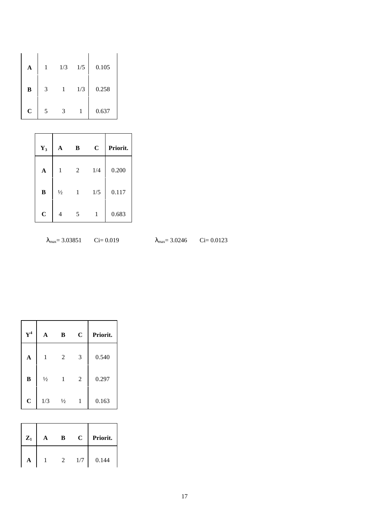| A           |   | 1/3 | 1/5 | 0.105 |
|-------------|---|-----|-----|-------|
| B           | 3 |     | 1/3 | 0.258 |
| $\mathbf C$ | 5 | 3   |     | 0.637 |

| $Y_3$        | A             | B              | $\mathbf C$ | Priorit. |
|--------------|---------------|----------------|-------------|----------|
| $\mathbf{A}$ | 1             | $\overline{2}$ | 1/4         | 0.200    |
| B            | $\frac{1}{2}$ | 1              | 1/5         | 0.117    |
| $\mathbf C$  | 4             | 5              | 1           | 0.683    |

$$
\lambda_{\text{max}} = 3.03851 \qquad \text{Ci} = 0.
$$

 $\lambda_{\text{max}}$  = 3.0246 Ci= 0.0123

| ${\bf Y^4}$ | A             | B             | $\mathbf C$    | Priorit. |
|-------------|---------------|---------------|----------------|----------|
| A           | 1             | 2             | 3              | 0.540    |
| $\bf{B}$    | $\frac{1}{2}$ | 1             | $\overline{2}$ | 0.297    |
| $\mathbf C$ | 1/3           | $\frac{1}{2}$ | 1              | 0.163    |

| $Z_1$ | в | $\mathbf C$ | Priorit. |
|-------|---|-------------|----------|
|       |   | 1/7         | 0.144    |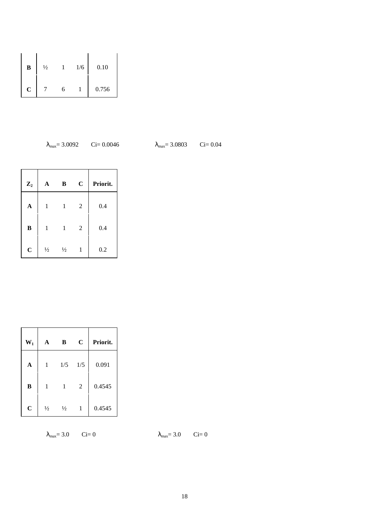| B           | $\frac{1}{2}$ |   | 1/6 | 0.10  |
|-------------|---------------|---|-----|-------|
| $\mathbf C$ |               | h |     | 0.756 |

$$
\lambda_{\text{max}} = 3.0092
$$
 Ci= 0.004

46  $λ_{max} = 3.0803$  Ci= 0.04

| $\mathbf{Z}_2$ | A             | B             | $\mathbf C$    | Priorit. |
|----------------|---------------|---------------|----------------|----------|
| $\mathbf A$    | 1             | 1             | $\overline{2}$ | 0.4      |
| $\bf{B}$       | 1             | 1             | $\overline{2}$ | 0.4      |
| $\mathbf C$    | $\frac{1}{2}$ | $\frac{1}{2}$ | 1              | 0.2      |

| $W_1$       | A             | B             | $\mathbf C$    | Priorit. |
|-------------|---------------|---------------|----------------|----------|
| $\mathbf A$ | 1             | 1/5           | 1/5            | 0.091    |
| B           | 1             | 1             | $\mathfrak{2}$ | 0.4545   |
| $\mathbf C$ | $\frac{1}{2}$ | $\frac{1}{2}$ | 1              | 0.4545   |

 $\lambda_{\text{max}} = 3.0$  Ci= 0  $\lambda_{\text{max}} = 3.0$  Ci= 0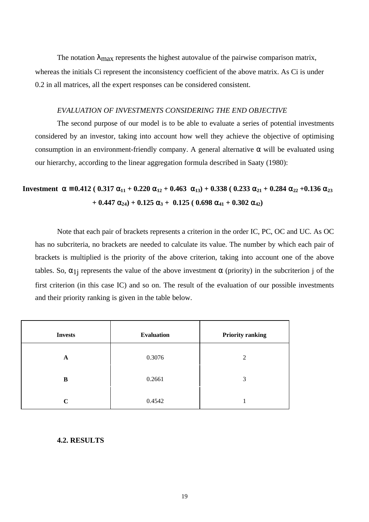The notation  $\lambda_{\text{max}}$  represents the highest autovalue of the pairwise comparison matrix, whereas the initials Ci represent the inconsistency coefficient of the above matrix. As Ci is under 0.2 in all matrices, all the expert responses can be considered consistent.

#### *EVALUATION OF INVESTMENTS CONSIDERING THE END OBJECTIVE*

The second purpose of our model is to be able to evaluate a series of potential investments considered by an investor, taking into account how well they achieve the objective of optimising consumption in an environment-friendly company. A general alternative  $\alpha$  will be evaluated using our hierarchy, according to the linear aggregation formula described in Saaty (1980):

# **Investment**  $\alpha = 0.412$  (  $0.317 \alpha_{11} + 0.220 \alpha_{12} + 0.463 \alpha_{13} + 0.338$  (  $0.233 \alpha_{21} + 0.284 \alpha_{22} + 0.136 \alpha_{23}$  $+ 0.447 \alpha_{24} + 0.125 \alpha_3 + 0.125 (0.698 \alpha_{41} + 0.302 \alpha_{42})$

Note that each pair of brackets represents a criterion in the order IC, PC, OC and UC. As OC has no subcriteria, no brackets are needed to calculate its value. The number by which each pair of brackets is multiplied is the priority of the above criterion, taking into account one of the above tables. So,  $\alpha_{1}$  represents the value of the above investment  $\alpha$  (priority) in the subcriterion j of the first criterion (in this case IC) and so on. The result of the evaluation of our possible investments and their priority ranking is given in the table below.

| <b>Invests</b> | <b>Evaluation</b> | <b>Priority ranking</b> |
|----------------|-------------------|-------------------------|
| A              | 0.3076            | 2                       |
| B              | 0.2661            | 3                       |
| C              | 0.4542            |                         |

#### **4.2. RESULTS**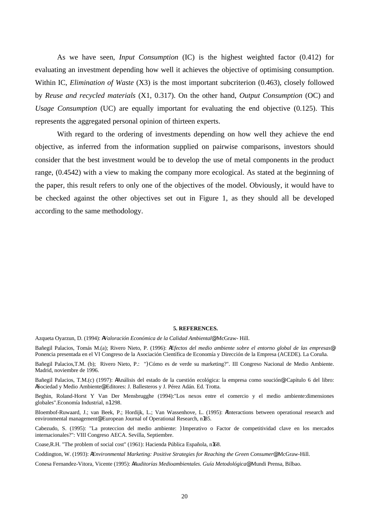As we have seen, *Input Consumption* (IC) is the highest weighted factor (0.412) for evaluating an investment depending how well it achieves the objective of optimising consumption. Within IC, *Elimination of Waste* (X3) is the most important subcriterion (0.463), closely followed by *Reuse and recycled materials* (X1, 0.317). On the other hand, *Output Consumption* (OC) and *Usage Consumption* (UC) are equally important for evaluating the end objective (0.125). This represents the aggregated personal opinion of thirteen experts.

With regard to the ordering of investments depending on how well they achieve the end objective, as inferred from the information supplied on pairwise comparisons, investors should consider that the best investment would be to develop the use of metal components in the product range, (0.4542) with a view to making the company more ecological. As stated at the beginning of the paper, this result refers to only one of the objectives of the model. Obviously, it would have to be checked against the other objectives set out in Figure 1, as they should all be developed according to the same methodology.

#### **5. REFERENCES.**

Azqueta Oyarzun, D. (1994): *AValoración Económica de la Calidad Ambiental@.* McGraw- Hill.

Bañegil Palacios, Tomás M.(a); Rivero Nieto, P. (1996): *AEfectos del medio ambiente sobre el entorno global de las empresas@*. Ponencia presentada en el VI Congreso de la Asociación Científica de Economía y Dirección de la Empresa (ACEDE). La Coruña.

Bañegil Palacios,T.M. (b); Rivero Nieto, P.: ")Cómo es de verde su marketing?". III Congreso Nacional de Medio Ambiente. Madrid, noviembre de 1996.

Bañegil Palacios, T.M.(c) (1997): AAnálisis del estado de la cuestión ecológica: la empresa como soución@. Capítulo 6 del libro: ASociedad y Medio Ambiente@. Editores: J. Ballesteros y J. Pérez Adán. Ed. Trotta.

Beghin, Roland-Horst Y Van Der Mensbrugghe (1994):"Los nexos entre el comercio y el medio ambiente:dimensiones globales".Economía Industrial, n1 298.

Bloembof-Ruwaard, J.; van Beek, P.; Hordijk, L.; Van Wassenhove, L. (1995): AInteractions between operational research and environmental management<sup>®</sup>. European Journal of Operational Research, n185.

Cabezudo, S. (1995): "La proteccion del medio ambiente: )Imperativo o Factor de competitividad clave en los mercados internacionales?": VIII Congreso AECA. Sevilla, Septiembre.

Coase,R.H. "The problem of social cost" (1961): Hacienda Pública Española, n168.

Coddington, W. (1993): *AEnvironmental Marketing: Positive Strategies for Reaching the Green Consumer@*. McGraw-Hill.

Conesa Fernandez-Vitora, Vicente (1995): *AAuditorías Medioambientales. Guía Metodológica@*. Mundi Prensa, Bilbao.